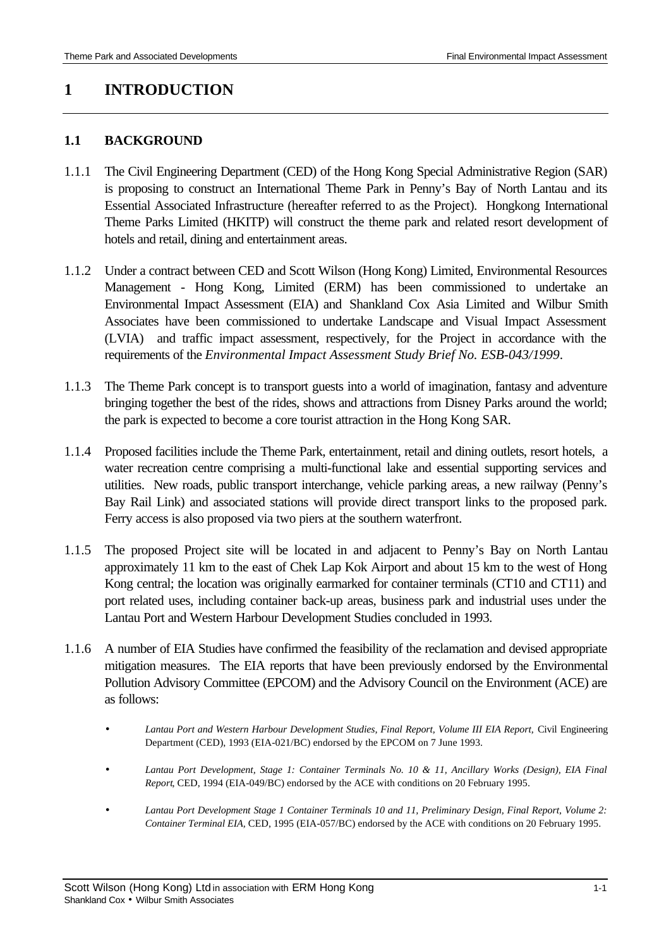# **1 INTRODUCTION**

# **1.1 BACKGROUND**

- 1.1.1 The Civil Engineering Department (CED) of the Hong Kong Special Administrative Region (SAR) is proposing to construct an International Theme Park in Penny's Bay of North Lantau and its Essential Associated Infrastructure (hereafter referred to as the Project). Hongkong International Theme Parks Limited (HKITP) will construct the theme park and related resort development of hotels and retail, dining and entertainment areas.
- 1.1.2 Under a contract between CED and Scott Wilson (Hong Kong) Limited, Environmental Resources Management - Hong Kong, Limited (ERM) has been commissioned to undertake an Environmental Impact Assessment (EIA) and Shankland Cox Asia Limited and Wilbur Smith Associates have been commissioned to undertake Landscape and Visual Impact Assessment (LVIA) and traffic impact assessment, respectively, for the Project in accordance with the requirements of the *Environmental Impact Assessment Study Brief No. ESB-043/1999*.
- 1.1.3 The Theme Park concept is to transport guests into a world of imagination, fantasy and adventure bringing together the best of the rides, shows and attractions from Disney Parks around the world; the park is expected to become a core tourist attraction in the Hong Kong SAR.
- 1.1.4 Proposed facilities include the Theme Park, entertainment, retail and dining outlets, resort hotels, a water recreation centre comprising a multi-functional lake and essential supporting services and utilities. New roads, public transport interchange, vehicle parking areas, a new railway (Penny's Bay Rail Link) and associated stations will provide direct transport links to the proposed park. Ferry access is also proposed via two piers at the southern waterfront.
- 1.1.5 The proposed Project site will be located in and adjacent to Penny's Bay on North Lantau approximately 11 km to the east of Chek Lap Kok Airport and about 15 km to the west of Hong Kong central; the location was originally earmarked for container terminals (CT10 and CT11) and port related uses, including container back-up areas, business park and industrial uses under the Lantau Port and Western Harbour Development Studies concluded in 1993.
- 1.1.6 A number of EIA Studies have confirmed the feasibility of the reclamation and devised appropriate mitigation measures. The EIA reports that have been previously endorsed by the Environmental Pollution Advisory Committee (EPCOM) and the Advisory Council on the Environment (ACE) are as follows:
	- *Lantau Port and Western Harbour Development Studies, Final Report, Volume III EIA Report,* Civil Engineering Department (CED), 1993 (EIA-021/BC) endorsed by the EPCOM on 7 June 1993.
	- *Lantau Port Development, Stage 1: Container Terminals No. 10 & 11, Ancillary Works (Design), EIA Final Report*, CED, 1994 (EIA-049/BC) endorsed by the ACE with conditions on 20 February 1995.
	- *Lantau Port Development Stage 1 Container Terminals 10 and 11, Preliminary Design, Final Report, Volume 2: Container Terminal EIA,* CED, 1995 (EIA-057/BC) endorsed by the ACE with conditions on 20 February 1995.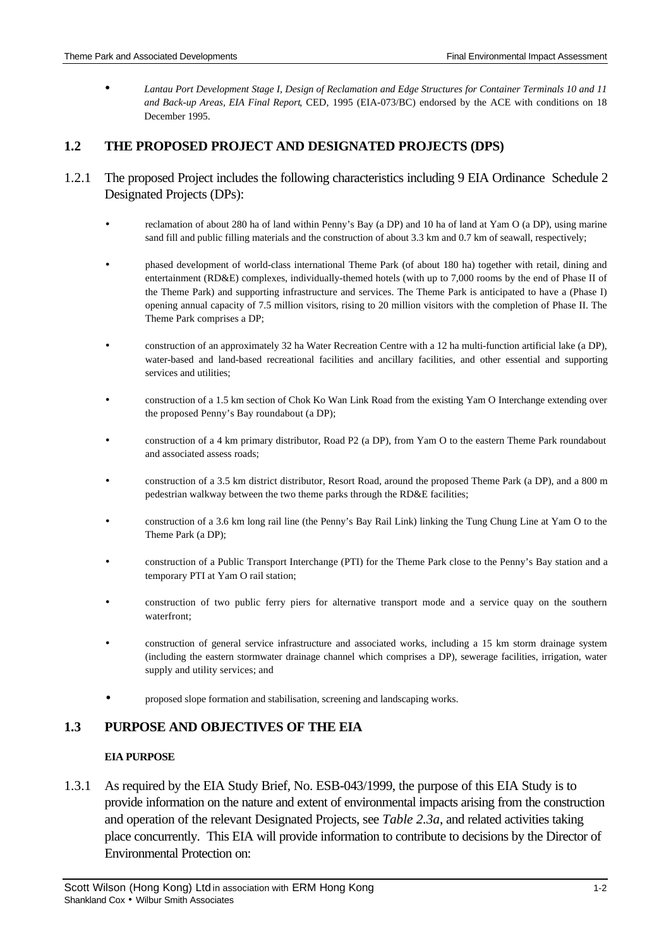• *Lantau Port Development Stage I, Design of Reclamation and Edge Structures for Container Terminals 10 and 11 and Back-up Areas, EIA Final Report*, CED, 1995 (EIA-073/BC) endorsed by the ACE with conditions on 18 December 1995.

# **1.2 THE PROPOSED PROJECT AND DESIGNATED PROJECTS (DPS)**

- 1.2.1 The proposed Project includes the following characteristics including 9 EIA Ordinance Schedule 2 Designated Projects (DPs):
	- reclamation of about 280 ha of land within Penny's Bay (a DP) and 10 ha of land at Yam O (a DP), using marine sand fill and public filling materials and the construction of about 3.3 km and 0.7 km of seawall, respectively;
	- phased development of world-class international Theme Park (of about 180 ha) together with retail, dining and entertainment (RD&E) complexes, individually-themed hotels (with up to 7,000 rooms by the end of Phase II of the Theme Park) and supporting infrastructure and services. The Theme Park is anticipated to have a (Phase I) opening annual capacity of 7.5 million visitors, rising to 20 million visitors with the completion of Phase II. The Theme Park comprises a DP;
	- construction of an approximately 32 ha Water Recreation Centre with a 12 ha multi-function artificial lake (a DP), water-based and land-based recreational facilities and ancillary facilities, and other essential and supporting services and utilities;
	- construction of a 1.5 km section of Chok Ko Wan Link Road from the existing Yam O Interchange extending over the proposed Penny's Bay roundabout (a DP);
	- construction of a 4 km primary distributor, Road P2 (a DP), from Yam O to the eastern Theme Park roundabout and associated assess roads;
	- construction of a 3.5 km district distributor, Resort Road, around the proposed Theme Park (a DP), and a 800 m pedestrian walkway between the two theme parks through the RD&E facilities;
	- construction of a 3.6 km long rail line (the Penny's Bay Rail Link) linking the Tung Chung Line at Yam O to the Theme Park (a DP);
	- construction of a Public Transport Interchange (PTI) for the Theme Park close to the Penny's Bay station and a temporary PTI at Yam O rail station;
	- construction of two public ferry piers for alternative transport mode and a service quay on the southern waterfront;
	- construction of general service infrastructure and associated works, including a 15 km storm drainage system (including the eastern stormwater drainage channel which comprises a DP), sewerage facilities, irrigation, water supply and utility services; and
	- proposed slope formation and stabilisation, screening and landscaping works.

# **1.3 PURPOSE AND OBJECTIVES OF THE EIA**

### **EIA PURPOSE**

1.3.1 As required by the EIA Study Brief, No. ESB-043/1999, the purpose of this EIA Study is to provide information on the nature and extent of environmental impacts arising from the construction and operation of the relevant Designated Projects, see *Table 2.3a*, and related activities taking place concurrently. This EIA will provide information to contribute to decisions by the Director of Environmental Protection on: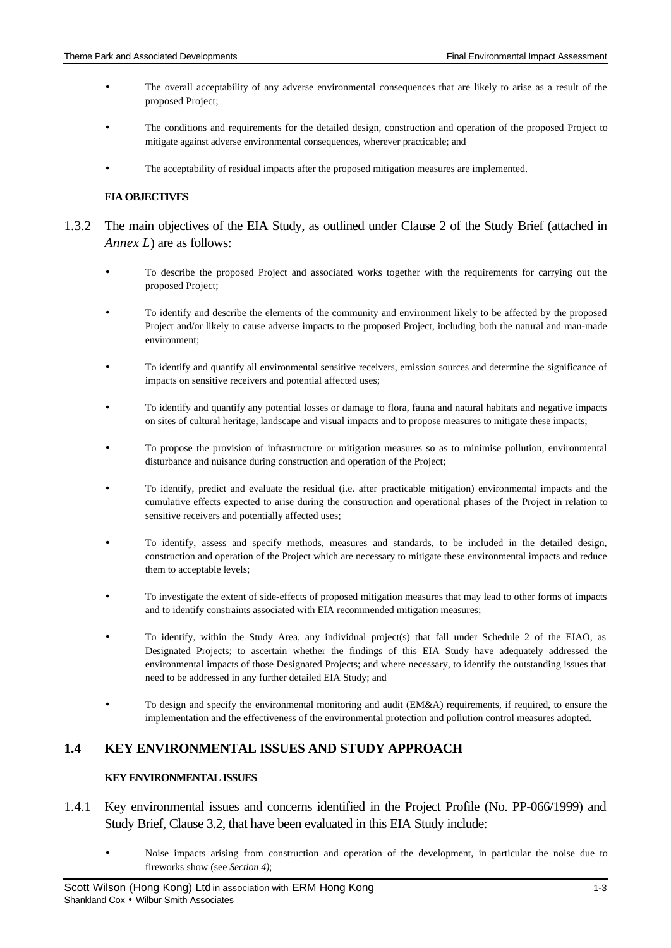- The overall acceptability of any adverse environmental consequences that are likely to arise as a result of the proposed Project;
- The conditions and requirements for the detailed design, construction and operation of the proposed Project to mitigate against adverse environmental consequences, wherever practicable; and
- The acceptability of residual impacts after the proposed mitigation measures are implemented.

## **EIA OBJECTIVES**

- 1.3.2 The main objectives of the EIA Study, as outlined under Clause 2 of the Study Brief (attached in *Annex L*) are as follows:
	- To describe the proposed Project and associated works together with the requirements for carrying out the proposed Project;
	- To identify and describe the elements of the community and environment likely to be affected by the proposed Project and/or likely to cause adverse impacts to the proposed Project, including both the natural and man-made environment;
	- To identify and quantify all environmental sensitive receivers, emission sources and determine the significance of impacts on sensitive receivers and potential affected uses;
	- To identify and quantify any potential losses or damage to flora, fauna and natural habitats and negative impacts on sites of cultural heritage, landscape and visual impacts and to propose measures to mitigate these impacts;
	- To propose the provision of infrastructure or mitigation measures so as to minimise pollution, environmental disturbance and nuisance during construction and operation of the Project;
	- To identify, predict and evaluate the residual (i.e. after practicable mitigation) environmental impacts and the cumulative effects expected to arise during the construction and operational phases of the Project in relation to sensitive receivers and potentially affected uses;
	- To identify, assess and specify methods, measures and standards, to be included in the detailed design, construction and operation of the Project which are necessary to mitigate these environmental impacts and reduce them to acceptable levels;
	- To investigate the extent of side-effects of proposed mitigation measures that may lead to other forms of impacts and to identify constraints associated with EIA recommended mitigation measures;
	- To identify, within the Study Area, any individual project(s) that fall under Schedule 2 of the EIAO, as Designated Projects; to ascertain whether the findings of this EIA Study have adequately addressed the environmental impacts of those Designated Projects; and where necessary, to identify the outstanding issues that need to be addressed in any further detailed EIA Study; and
	- To design and specify the environmental monitoring and audit (EM&A) requirements, if required, to ensure the implementation and the effectiveness of the environmental protection and pollution control measures adopted.

# **1.4 KEY ENVIRONMENTAL ISSUES AND STUDY APPROACH**

### **KEY ENVIRONMENTAL ISSUES**

- 1.4.1 Key environmental issues and concerns identified in the Project Profile (No. PP-066/1999) and Study Brief, Clause 3.2, that have been evaluated in this EIA Study include:
	- Noise impacts arising from construction and operation of the development, in particular the noise due to fireworks show (see *Section 4)*;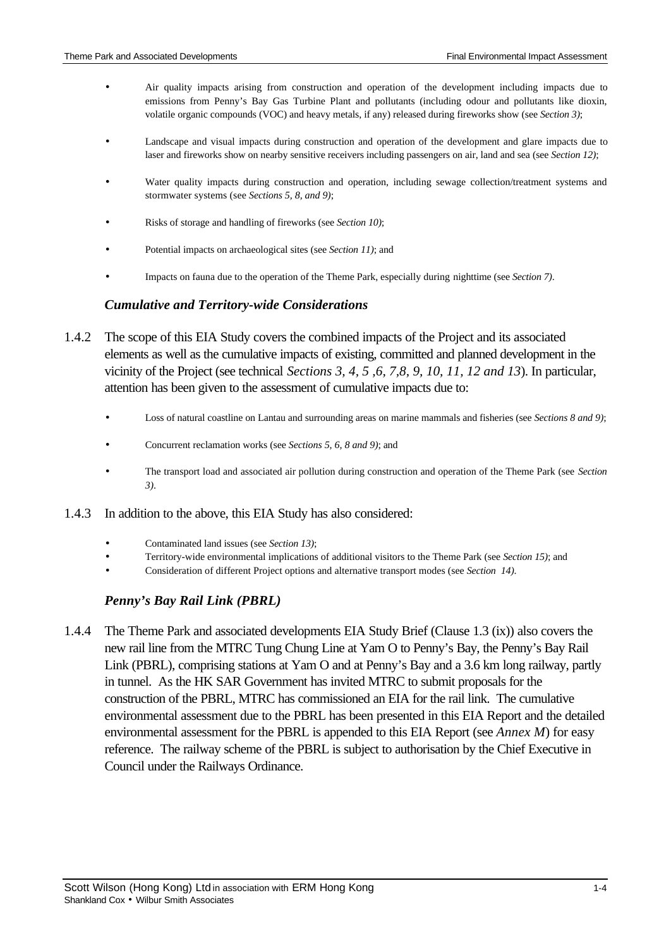- Air quality impacts arising from construction and operation of the development including impacts due to emissions from Penny's Bay Gas Turbine Plant and pollutants (including odour and pollutants like dioxin, volatile organic compounds (VOC) and heavy metals, if any) released during fireworks show (see *Section 3)*;
- Landscape and visual impacts during construction and operation of the development and glare impacts due to laser and fireworks show on nearby sensitive receivers including passengers on air, land and sea (see *Section 12)*;
- Water quality impacts during construction and operation, including sewage collection/treatment systems and stormwater systems (see *Sections 5, 8, and 9)*;
- Risks of storage and handling of fireworks (see *Section 10)*;
- Potential impacts on archaeological sites (see *Section 11)*; and
- Impacts on fauna due to the operation of the Theme Park, especially during nighttime (see *Section 7)*.

#### *Cumulative and Territory-wide Considerations*

- 1.4.2 The scope of this EIA Study covers the combined impacts of the Project and its associated elements as well as the cumulative impacts of existing, committed and planned development in the vicinity of the Project (see technical *Sections 3, 4, 5 ,6, 7,8, 9, 10, 11, 12 and 13*). In particular, attention has been given to the assessment of cumulative impacts due to:
	- Loss of natural coastline on Lantau and surrounding areas on marine mammals and fisheries (see *Sections 8 and 9)*;
	- Concurrent reclamation works (see *Sections 5, 6, 8 and 9)*; and
	- The transport load and associated air pollution during construction and operation of the Theme Park (see *Section 3)*.
- 1.4.3 In addition to the above, this EIA Study has also considered:
	- Contaminated land issues (see *Section 13)*;
	- Territory-wide environmental implications of additional visitors to the Theme Park (see *Section 15)*; and
	- Consideration of different Project options and alternative transport modes (see *Section 14)*.

### *Penny's Bay Rail Link (PBRL)*

1.4.4 The Theme Park and associated developments EIA Study Brief (Clause 1.3 (ix)) also covers the new rail line from the MTRC Tung Chung Line at Yam O to Penny's Bay, the Penny's Bay Rail Link (PBRL), comprising stations at Yam O and at Penny's Bay and a 3.6 km long railway, partly in tunnel. As the HK SAR Government has invited MTRC to submit proposals for the construction of the PBRL, MTRC has commissioned an EIA for the rail link. The cumulative environmental assessment due to the PBRL has been presented in this EIA Report and the detailed environmental assessment for the PBRL is appended to this EIA Report (see *Annex M*) for easy reference. The railway scheme of the PBRL is subject to authorisation by the Chief Executive in Council under the Railways Ordinance.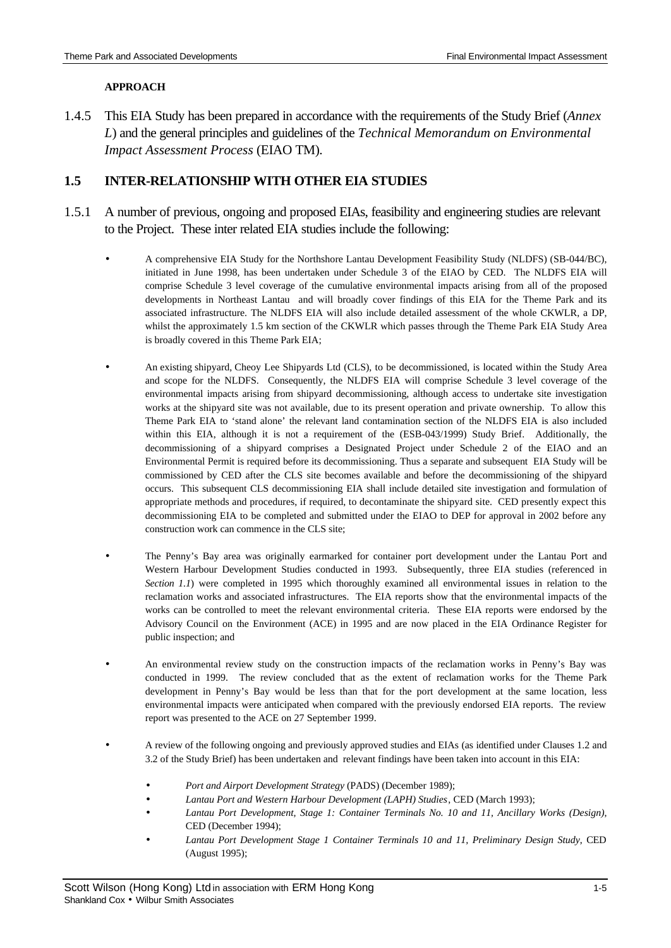#### **APPROACH**

1.4.5 This EIA Study has been prepared in accordance with the requirements of the Study Brief (*Annex L*) and the general principles and guidelines of the *Technical Memorandum on Environmental Impact Assessment Process* (EIAO TM).

# **1.5 INTER-RELATIONSHIP WITH OTHER EIA STUDIES**

- 1.5.1 A number of previous, ongoing and proposed EIAs, feasibility and engineering studies are relevant to the Project. These inter related EIA studies include the following:
	- A comprehensive EIA Study for the Northshore Lantau Development Feasibility Study (NLDFS) (SB-044/BC), initiated in June 1998, has been undertaken under Schedule 3 of the EIAO by CED. The NLDFS EIA will comprise Schedule 3 level coverage of the cumulative environmental impacts arising from all of the proposed developments in Northeast Lantau and will broadly cover findings of this EIA for the Theme Park and its associated infrastructure. The NLDFS EIA will also include detailed assessment of the whole CKWLR, a DP, whilst the approximately 1.5 km section of the CKWLR which passes through the Theme Park EIA Study Area is broadly covered in this Theme Park EIA;
	- An existing shipyard, Cheoy Lee Shipyards Ltd (CLS), to be decommissioned, is located within the Study Area and scope for the NLDFS. Consequently, the NLDFS EIA will comprise Schedule 3 level coverage of the environmental impacts arising from shipyard decommissioning, although access to undertake site investigation works at the shipyard site was not available, due to its present operation and private ownership. To allow this Theme Park EIA to 'stand alone' the relevant land contamination section of the NLDFS EIA is also included within this EIA, although it is not a requirement of the (ESB-043/1999) Study Brief. Additionally, the decommissioning of a shipyard comprises a Designated Project under Schedule 2 of the EIAO and an Environmental Permit is required before its decommissioning. Thus a separate and subsequent EIA Study will be commissioned by CED after the CLS site becomes available and before the decommissioning of the shipyard occurs. This subsequent CLS decommissioning EIA shall include detailed site investigation and formulation of appropriate methods and procedures, if required, to decontaminate the shipyard site. CED presently expect this decommissioning EIA to be completed and submitted under the EIAO to DEP for approval in 2002 before any construction work can commence in the CLS site;
	- The Penny's Bay area was originally earmarked for container port development under the Lantau Port and Western Harbour Development Studies conducted in 1993. Subsequently, three EIA studies (referenced in *Section 1.1*) were completed in 1995 which thoroughly examined all environmental issues in relation to the reclamation works and associated infrastructures. The EIA reports show that the environmental impacts of the works can be controlled to meet the relevant environmental criteria. These EIA reports were endorsed by the Advisory Council on the Environment (ACE) in 1995 and are now placed in the EIA Ordinance Register for public inspection; and
	- An environmental review study on the construction impacts of the reclamation works in Penny's Bay was conducted in 1999. The review concluded that as the extent of reclamation works for the Theme Park development in Penny's Bay would be less than that for the port development at the same location, less environmental impacts were anticipated when compared with the previously endorsed EIA reports. The review report was presented to the ACE on 27 September 1999.
	- A review of the following ongoing and previously approved studies and EIAs (as identified under Clauses 1.2 and 3.2 of the Study Brief) has been undertaken and relevant findings have been taken into account in this EIA:
		- *Port and Airport Development Strategy* (PADS) (December 1989);
		- *Lantau Port and Western Harbour Development (LAPH) Studies*, CED (March 1993);
		- *Lantau Port Development, Stage 1: Container Terminals No. 10 and 11, Ancillary Works (Design)*, CED (December 1994);
		- *Lantau Port Development Stage 1 Container Terminals 10 and 11, Preliminary Design Study*, CED (August 1995);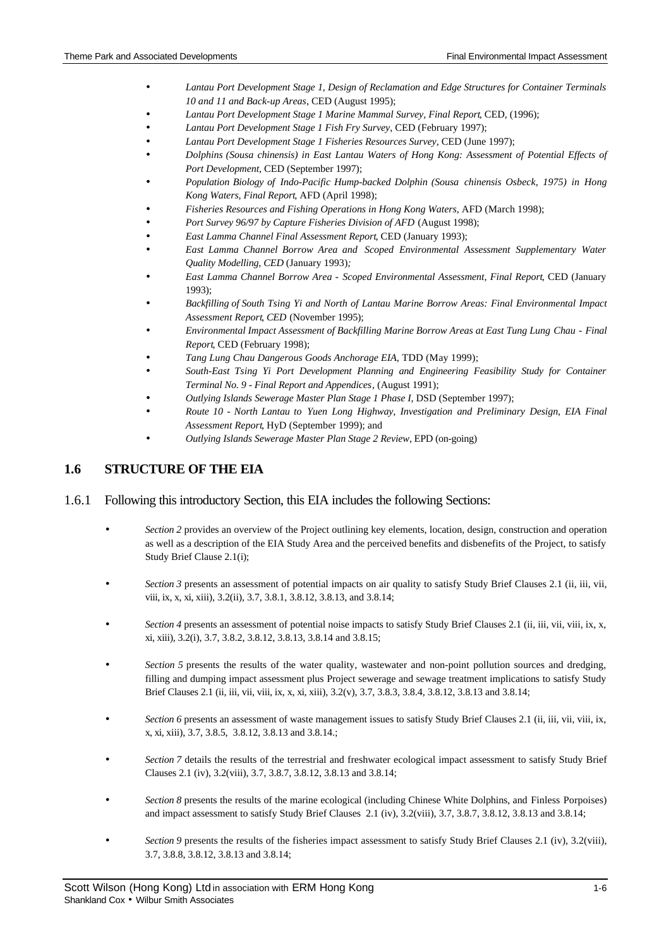- *Lantau Port Development Stage 1, Design of Reclamation and Edge Structures for Container Terminals 10 and 11 and Back-up Areas*, CED (August 1995);
- *Lantau Port Development Stage 1 Marine Mammal Survey, Final Report*, CED, (1996);
- *Lantau Port Development Stage 1 Fish Fry Survey*, CED (February 1997);
- *Lantau Port Development Stage 1 Fisheries Resources Survey*, CED (June 1997);
- *Dolphins (Sousa chinensis) in East Lantau Waters of Hong Kong: Assessment of Potential Effects of Port Development*, CED (September 1997);
- *Population Biology of Indo-Pacific Hump-backed Dolphin (Sousa chinensis Osbeck, 1975) in Hong Kong Waters, Final Report*, AFD (April 1998);
- *Fisheries Resources and Fishing Operations in Hong Kong Waters*, AFD (March 1998);
- *Port Survey 96/97 by Capture Fisheries Division of AFD* (August 1998);
- *East Lamma Channel Final Assessment Report*, CED (January 1993);
- *East Lamma Channel Borrow Area and Scoped Environmental Assessment Supplementary Water Quality Modelling, CED* (January 1993)*;*
- *East Lamma Channel Borrow Area Scoped Environmental Assessment, Final Report*, CED (January 1993);
- *Backfilling of South Tsing Yi and North of Lantau Marine Borrow Areas: Final Environmental Impact Assessment Report*, *CED* (November 1995);
- *Environmental Impact Assessment of Backfilling Marine Borrow Areas at East Tung Lung Chau Final Report*, CED (February 1998);
- *Tang Lung Chau Dangerous Goods Anchorage EIA*, TDD (May 1999);
- *South-East Tsing Yi Port Development Planning and Engineering Feasibility Study for Container Terminal No. 9 - Final Report and Appendices*, (August 1991);
- *Outlying Islands Sewerage Master Plan Stage 1 Phase I*, DSD (September 1997);
- *Route 10 North Lantau to Yuen Long Highway, Investigation and Preliminary Design, EIA Final Assessment Report*, HyD (September 1999); and
- *Outlying Islands Sewerage Master Plan Stage 2 Review*, EPD (on-going)

### **1.6 STRUCTURE OF THE EIA**

#### 1.6.1 Following this introductory Section, this EIA includes the following Sections:

- *Section 2* provides an overview of the Project outlining key elements, location, design, construction and operation as well as a description of the EIA Study Area and the perceived benefits and disbenefits of the Project, to satisfy Study Brief Clause 2.1(i);
- *Section 3* presents an assessment of potential impacts on air quality to satisfy Study Brief Clauses 2.1 (ii, iii, vii, viii, ix, x, xi, xiii), 3.2(ii), 3.7, 3.8.1, 3.8.12, 3.8.13, and 3.8.14;
- *Section 4* presents an assessment of potential noise impacts to satisfy Study Brief Clauses 2.1 (ii, iii, vii, viii, ix, x, xi, xiii), 3.2(i), 3.7, 3.8.2, 3.8.12, 3.8.13, 3.8.14 and 3.8.15;
- *Section 5* presents the results of the water quality, wastewater and non-point pollution sources and dredging, filling and dumping impact assessment plus Project sewerage and sewage treatment implications to satisfy Study Brief Clauses 2.1 (ii, iii, vii, viii, ix, x, xi, xiii), 3.2(v), 3.7, 3.8.3, 3.8.4, 3.8.12, 3.8.13 and 3.8.14;
- *Section 6* presents an assessment of waste management issues to satisfy Study Brief Clauses 2.1 (ii, iii, vii, viii, ix, x, xi, xiii), 3.7, 3.8.5, 3.8.12, 3.8.13 and 3.8.14.;
- *Section 7* details the results of the terrestrial and freshwater ecological impact assessment to satisfy Study Brief Clauses 2.1 (iv), 3.2(viii), 3.7, 3.8.7, 3.8.12, 3.8.13 and 3.8.14;
- *Section 8* presents the results of the marine ecological (including Chinese White Dolphins, and Finless Porpoises) and impact assessment to satisfy Study Brief Clauses 2.1 (iv), 3.2(viii), 3.7, 3.8.7, 3.8.12, 3.8.13 and 3.8.14;
- *Section 9* presents the results of the fisheries impact assessment to satisfy Study Brief Clauses 2.1 (iv), 3.2(viii), 3.7, 3.8.8, 3.8.12, 3.8.13 and 3.8.14;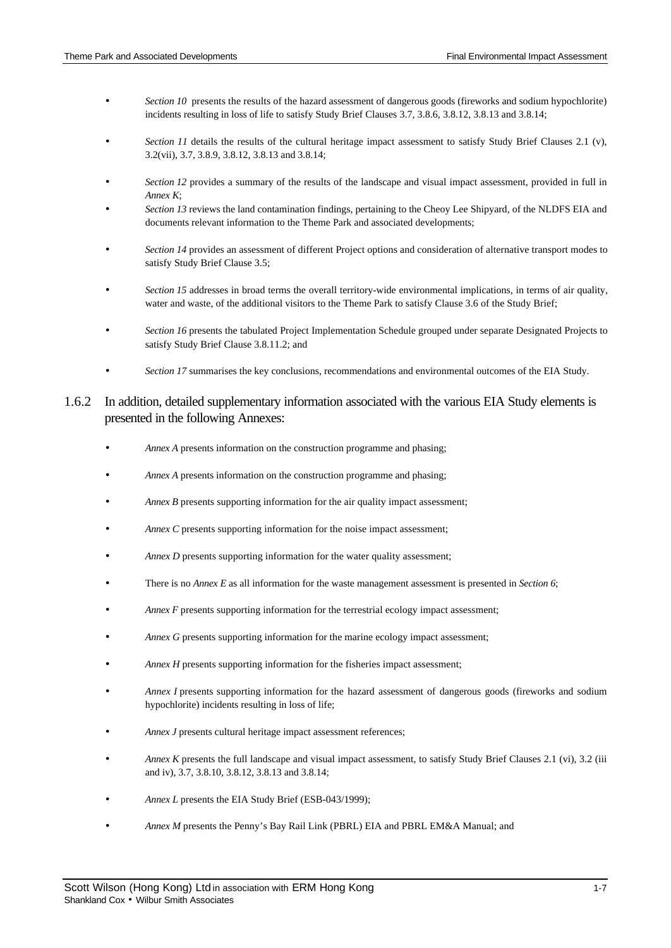- *Section 10* presents the results of the hazard assessment of dangerous goods (fireworks and sodium hypochlorite) incidents resulting in loss of life to satisfy Study Brief Clauses 3.7, 3.8.6, 3.8.12, 3.8.13 and 3.8.14;
- *Section 11* details the results of the cultural heritage impact assessment to satisfy Study Brief Clauses 2.1 (v), 3.2(vii), 3.7, 3.8.9, 3.8.12, 3.8.13 and 3.8.14;
- *Section 12* provides a summary of the results of the landscape and visual impact assessment, provided in full in *Annex K*;
- *Section 13* reviews the land contamination findings, pertaining to the Cheoy Lee Shipyard, of the NLDFS EIA and documents relevant information to the Theme Park and associated developments;
- *Section 14* provides an assessment of different Project options and consideration of alternative transport modes to satisfy Study Brief Clause 3.5;
- *Section 15* addresses in broad terms the overall territory-wide environmental implications, in terms of air quality, water and waste, of the additional visitors to the Theme Park to satisfy Clause 3.6 of the Study Brief;
- *Section 16* presents the tabulated Project Implementation Schedule grouped under separate Designated Projects to satisfy Study Brief Clause 3.8.11.2; and
- *Section 17* summarises the key conclusions, recommendations and environmental outcomes of the EIA Study.

# 1.6.2 In addition, detailed supplementary information associated with the various EIA Study elements is presented in the following Annexes:

- *Annex A* presents information on the construction programme and phasing;
- Annex A presents information on the construction programme and phasing;
- *Annex B* presents supporting information for the air quality impact assessment;
- Annex C presents supporting information for the noise impact assessment;
- Annex D presents supporting information for the water quality assessment;
- There is no *Annex E* as all information for the waste management assessment is presented in *Section 6*;
- Annex F presents supporting information for the terrestrial ecology impact assessment;
- *Annex G* presents supporting information for the marine ecology impact assessment;
- *Annex H* presents supporting information for the fisheries impact assessment;
- *Annex I* presents supporting information for the hazard assessment of dangerous goods (fireworks and sodium hypochlorite) incidents resulting in loss of life;
- Annex *J* presents cultural heritage impact assessment references;
- *Annex K* presents the full landscape and visual impact assessment, to satisfy Study Brief Clauses 2.1 (vi), 3.2 (iii and iv), 3.7, 3.8.10, 3.8.12, 3.8.13 and 3.8.14;
- *Annex L* presents the EIA Study Brief (ESB-043/1999);
- *Annex M* presents the Penny's Bay Rail Link (PBRL) EIA and PBRL EM&A Manual; and